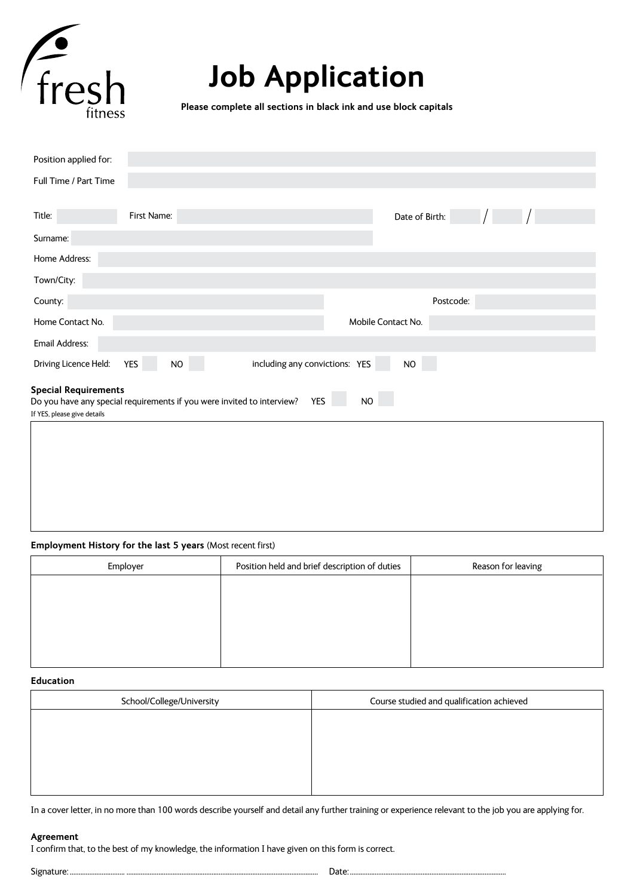

# **Job Application**

**Please complete all sections in black ink and use block capitals**

| Position applied for:                                                                                                |             |  |                    |                |  |  |
|----------------------------------------------------------------------------------------------------------------------|-------------|--|--------------------|----------------|--|--|
| Full Time / Part Time                                                                                                |             |  |                    |                |  |  |
|                                                                                                                      |             |  |                    |                |  |  |
| Title:                                                                                                               | First Name: |  |                    | Date of Birth: |  |  |
| Surname:                                                                                                             |             |  |                    |                |  |  |
| Home Address:                                                                                                        |             |  |                    |                |  |  |
| Town/City:                                                                                                           |             |  |                    |                |  |  |
| County:                                                                                                              |             |  |                    | Postcode:      |  |  |
| Home Contact No.                                                                                                     |             |  | Mobile Contact No. |                |  |  |
| Email Address:                                                                                                       |             |  |                    |                |  |  |
| including any convictions: YES<br>Driving Licence Held:<br><b>YES</b><br>$\rm NO$<br><b>NO</b>                       |             |  |                    |                |  |  |
| <b>Special Requirements</b>                                                                                          |             |  |                    |                |  |  |
| $NO$<br>YES<br>Do you have any special requirements if you were invited to interview?<br>If YES, please give details |             |  |                    |                |  |  |
|                                                                                                                      |             |  |                    |                |  |  |
|                                                                                                                      |             |  |                    |                |  |  |
|                                                                                                                      |             |  |                    |                |  |  |
|                                                                                                                      |             |  |                    |                |  |  |
|                                                                                                                      |             |  |                    |                |  |  |

## **Employment History for the last 5 years** (Most recent first)

| Employer | Position held and brief description of duties | Reason for leaving |
|----------|-----------------------------------------------|--------------------|
|          |                                               |                    |
|          |                                               |                    |
|          |                                               |                    |
|          |                                               |                    |
|          |                                               |                    |

## **Education**

| School/College/University | Course studied and qualification achieved |  |  |
|---------------------------|-------------------------------------------|--|--|
|                           |                                           |  |  |
|                           |                                           |  |  |
|                           |                                           |  |  |
|                           |                                           |  |  |
|                           |                                           |  |  |

In a cover letter, in no more than 100 words describe yourself and detail any further training or experience relevant to the job you are applying for.

#### **Agreement**

I confirm that, to the best of my knowledge, the information I have given on this form is correct.

Signature: ............................... ............................................................................................................ Date:........................................................................................